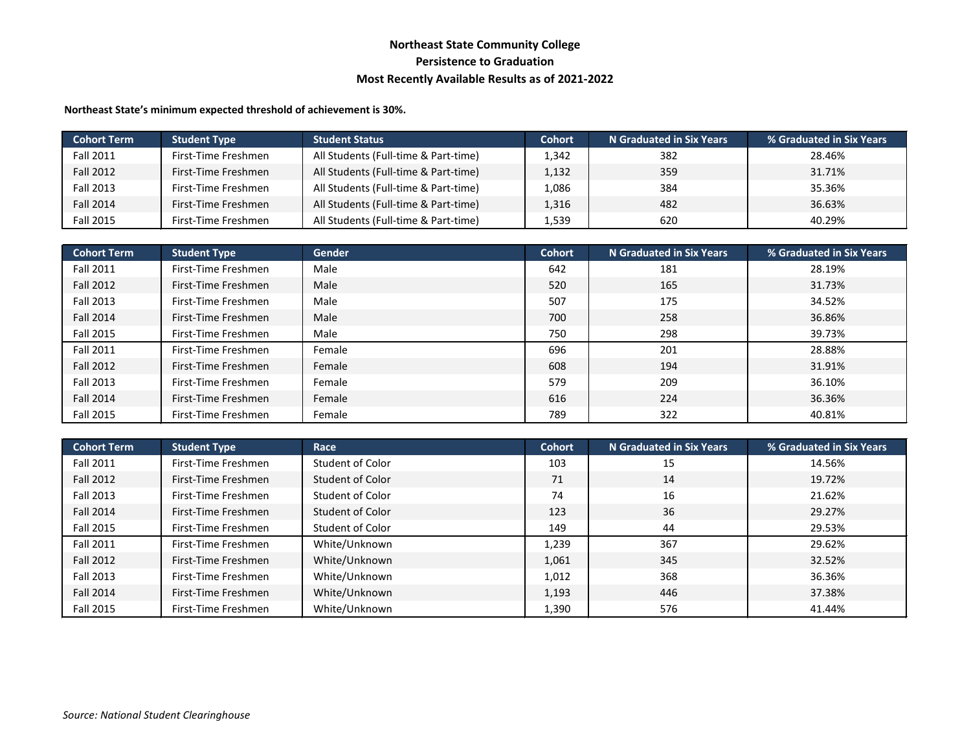## **Northeast State Community College Persistence to Graduation Most Recently Available Results as of 2021-2022**

**Northeast State's minimum expected threshold of achievement is 30%.**

| <b>Cohort Term</b> | <b>Student Type</b> | <b>Student Status</b>                | <b>Cohort</b> | N Graduated in Six Years | % Graduated in Six Years |
|--------------------|---------------------|--------------------------------------|---------------|--------------------------|--------------------------|
| <b>Fall 2011</b>   | First-Time Freshmen | All Students (Full-time & Part-time) | 1,342         | 382                      | 28.46%                   |
| Fall 2012          | First-Time Freshmen | All Students (Full-time & Part-time) | 1,132         | 359                      | 31.71%                   |
| Fall 2013          | First-Time Freshmen | All Students (Full-time & Part-time) | 1,086         | 384                      | 35.36%                   |
| <b>Fall 2014</b>   | First-Time Freshmen | All Students (Full-time & Part-time) | 1,316         | 482                      | 36.63%                   |
| <b>Fall 2015</b>   | First-Time Freshmen | All Students (Full-time & Part-time) | 1,539         | 620                      | 40.29%                   |

| <b>Cohort Term</b> | <b>Student Type</b> | <b>Gender</b> | <b>Cohort</b> | <b>N</b> Graduated in Six Years | % Graduated in Six Years |
|--------------------|---------------------|---------------|---------------|---------------------------------|--------------------------|
| <b>Fall 2011</b>   | First-Time Freshmen | Male          | 642           | 181                             | 28.19%                   |
| <b>Fall 2012</b>   | First-Time Freshmen | Male          | 520           | 165                             | 31.73%                   |
| Fall 2013          | First-Time Freshmen | Male          | 507           | 175                             | 34.52%                   |
| <b>Fall 2014</b>   | First-Time Freshmen | Male          | 700           | 258                             | 36.86%                   |
| Fall 2015          | First-Time Freshmen | Male          | 750           | 298                             | 39.73%                   |
| Fall 2011          | First-Time Freshmen | Female        | 696           | 201                             | 28.88%                   |
| <b>Fall 2012</b>   | First-Time Freshmen | Female        | 608           | 194                             | 31.91%                   |
| Fall 2013          | First-Time Freshmen | Female        | 579           | 209                             | 36.10%                   |
| <b>Fall 2014</b>   | First-Time Freshmen | Female        | 616           | 224                             | 36.36%                   |
| Fall 2015          | First-Time Freshmen | Female        | 789           | 322                             | 40.81%                   |

| <b>Cohort Term</b> | <b>Student Type</b> | Race             | <b>Cohort</b> | <b>N</b> Graduated in Six Years | % Graduated in Six Years |
|--------------------|---------------------|------------------|---------------|---------------------------------|--------------------------|
| <b>Fall 2011</b>   | First-Time Freshmen | Student of Color | 103           | 15                              | 14.56%                   |
| Fall 2012          | First-Time Freshmen | Student of Color | 71            | 14                              | 19.72%                   |
| Fall 2013          | First-Time Freshmen | Student of Color | 74            | 16                              | 21.62%                   |
| Fall 2014          | First-Time Freshmen | Student of Color | 123           | 36                              | 29.27%                   |
| <b>Fall 2015</b>   | First-Time Freshmen | Student of Color | 149           | 44                              | 29.53%                   |
| <b>Fall 2011</b>   | First-Time Freshmen | White/Unknown    | 1,239         | 367                             | 29.62%                   |
| <b>Fall 2012</b>   | First-Time Freshmen | White/Unknown    | 1,061         | 345                             | 32.52%                   |
| Fall 2013          | First-Time Freshmen | White/Unknown    | 1,012         | 368                             | 36.36%                   |
| <b>Fall 2014</b>   | First-Time Freshmen | White/Unknown    | 1,193         | 446                             | 37.38%                   |
| Fall 2015          | First-Time Freshmen | White/Unknown    | 1,390         | 576                             | 41.44%                   |